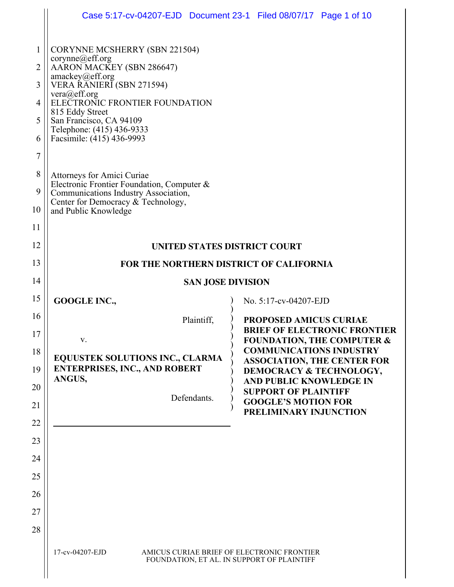|                                                 |                                                                                                                                                                                                                                                                                                                                                                                                                                                                                  | Case 5:17-cv-04207-EJD  Document 23-1  Filed 08/07/17  Page 1 of 10                                                                          |
|-------------------------------------------------|----------------------------------------------------------------------------------------------------------------------------------------------------------------------------------------------------------------------------------------------------------------------------------------------------------------------------------------------------------------------------------------------------------------------------------------------------------------------------------|----------------------------------------------------------------------------------------------------------------------------------------------|
| 1<br>2<br>3<br>4<br>5<br>6<br>7<br>8<br>9<br>10 | <b>CORYNNE MCSHERRY (SBN 221504)</b><br>corynne@eff.org<br>AARON MACKEY (SBN 286647)<br>amackey@eff.org<br>VERA RĂNIERĬ (SBN 271594)<br>vera@eff.org<br>ELECTRONIC FRONTIER FOUNDATION<br>815 Eddy Street<br>San Francisco, CA 94109<br>Telephone: (415) 436-9333<br>Facsimile: (415) 436-9993<br>Attorneys for Amici Curiae<br>Electronic Frontier Foundation, Computer &<br>Communications Industry Association,<br>Center for Democracy & Technology,<br>and Public Knowledge |                                                                                                                                              |
| 11                                              |                                                                                                                                                                                                                                                                                                                                                                                                                                                                                  |                                                                                                                                              |
| 12<br>13                                        | UNITED STATES DISTRICT COURT<br>FOR THE NORTHERN DISTRICT OF CALIFORNIA                                                                                                                                                                                                                                                                                                                                                                                                          |                                                                                                                                              |
| 14                                              |                                                                                                                                                                                                                                                                                                                                                                                                                                                                                  | <b>SAN JOSE DIVISION</b>                                                                                                                     |
| 15                                              | <b>GOOGLE INC.,</b>                                                                                                                                                                                                                                                                                                                                                                                                                                                              | No. 5:17-cv-04207-EJD                                                                                                                        |
| 16                                              | Plaintiff,                                                                                                                                                                                                                                                                                                                                                                                                                                                                       | <b>PROPOSED AMICUS CURIAE</b>                                                                                                                |
| 17                                              |                                                                                                                                                                                                                                                                                                                                                                                                                                                                                  | <b>BRIEF OF ELECTRONIC FRONTIER</b><br><b>FOUNDATION, THE COMPUTER &amp;</b>                                                                 |
| 18                                              | <b>EQUUSTEK SOLUTIONS INC., CLARMA</b><br><b>ENTERPRISES, INC., AND ROBERT</b><br>ANGUS,                                                                                                                                                                                                                                                                                                                                                                                         | <b>COMMUNICATIONS INDUSTRY</b><br><b>ASSOCIATION, THE CENTER FOR</b><br><b>DEMOCRACY &amp; TECHNOLOGY,</b><br><b>AND PUBLIC KNOWLEDGE IN</b> |
| 19                                              |                                                                                                                                                                                                                                                                                                                                                                                                                                                                                  |                                                                                                                                              |
| 20                                              | Defendants.                                                                                                                                                                                                                                                                                                                                                                                                                                                                      | <b>SUPPORT OF PLAINTIFF</b><br><b>GOOGLE'S MOTION FOR</b>                                                                                    |
| 21                                              |                                                                                                                                                                                                                                                                                                                                                                                                                                                                                  | PRELIMINARY INJUNCTION                                                                                                                       |
| 22<br>23                                        |                                                                                                                                                                                                                                                                                                                                                                                                                                                                                  |                                                                                                                                              |
| 24                                              |                                                                                                                                                                                                                                                                                                                                                                                                                                                                                  |                                                                                                                                              |
| 25                                              |                                                                                                                                                                                                                                                                                                                                                                                                                                                                                  |                                                                                                                                              |
| 26                                              |                                                                                                                                                                                                                                                                                                                                                                                                                                                                                  |                                                                                                                                              |
| 27                                              |                                                                                                                                                                                                                                                                                                                                                                                                                                                                                  |                                                                                                                                              |
| 28                                              |                                                                                                                                                                                                                                                                                                                                                                                                                                                                                  |                                                                                                                                              |
|                                                 |                                                                                                                                                                                                                                                                                                                                                                                                                                                                                  |                                                                                                                                              |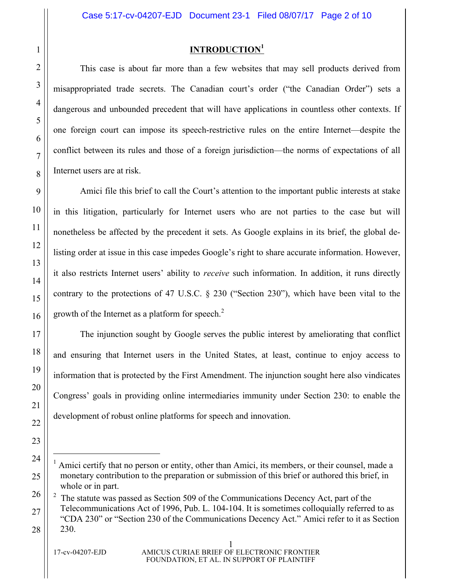## **INTRODUCTION<sup>1</sup>**

This case is about far more than a few websites that may sell products derived from misappropriated trade secrets. The Canadian court's order ("the Canadian Order") sets a dangerous and unbounded precedent that will have applications in countless other contexts. If one foreign court can impose its speech-restrictive rules on the entire Internet—despite the conflict between its rules and those of a foreign jurisdiction—the norms of expectations of all Internet users are at risk.

Amici file this brief to call the Court's attention to the important public interests at stake in this litigation, particularly for Internet users who are not parties to the case but will nonetheless be affected by the precedent it sets. As Google explains in its brief, the global delisting order at issue in this case impedes Google's right to share accurate information. However, it also restricts Internet users' ability to *receive* such information. In addition, it runs directly contrary to the protections of 47 U.S.C. § 230 ("Section 230"), which have been vital to the growth of the Internet as a platform for speech.<sup>2</sup>

The injunction sought by Google serves the public interest by ameliorating that conflict and ensuring that Internet users in the United States, at least, continue to enjoy access to information that is protected by the First Amendment. The injunction sought here also vindicates Congress' goals in providing online intermediaries immunity under Section 230: to enable the development of robust online platforms for speech and innovation.

 <sup>1</sup> Amici certify that no person or entity, other than Amici, its members, or their counsel, made a monetary contribution to the preparation or submission of this brief or authored this brief, in whole or in part.

 $2<sup>2</sup>$  The statute was passed as Section 509 of the Communications Decency Act, part of the Telecommunications Act of 1996, Pub. L. 104-104. It is sometimes colloquially referred to as "CDA 230" or "Section 230 of the Communications Decency Act." Amici refer to it as Section 230.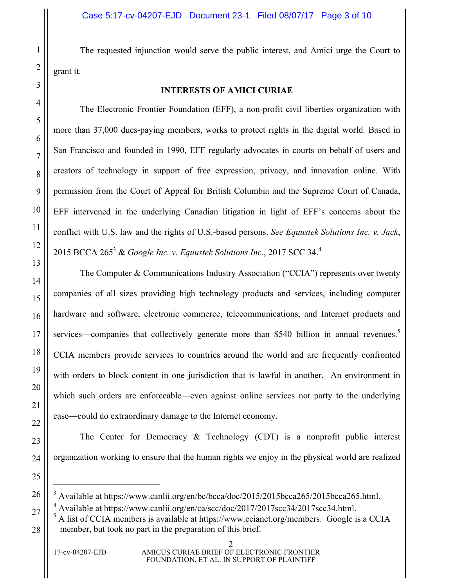The requested injunction would serve the public interest, and Amici urge the Court to grant it.

### **INTERESTS OF AMICI CURIAE**

The Electronic Frontier Foundation (EFF), a non-profit civil liberties organization with more than 37,000 dues-paying members, works to protect rights in the digital world. Based in San Francisco and founded in 1990, EFF regularly advocates in courts on behalf of users and creators of technology in support of free expression, privacy, and innovation online. With permission from the Court of Appeal for British Columbia and the Supreme Court of Canada, EFF intervened in the underlying Canadian litigation in light of EFF's concerns about the conflict with U.S. law and the rights of U.S.-based persons. *See Equustek Solutions Inc. v. Jack*, 2015 BCCA  $265^3$  & *Google Inc. v. Equustek Solutions Inc.*, 2017 SCC 34.<sup>4</sup>

The Computer & Communications Industry Association ("CCIA") represents over twenty companies of all sizes providing high technology products and services, including computer hardware and software, electronic commerce, telecommunications, and Internet products and services—companies that collectively generate more than \$540 billion in annual revenues.<sup>5</sup> CCIA members provide services to countries around the world and are frequently confronted with orders to block content in one jurisdiction that is lawful in another. An environment in which such orders are enforceable—even against online services not party to the underlying case—could do extraordinary damage to the Internet economy.

The Center for Democracy & Technology (CDT) is a nonprofit public interest organization working to ensure that the human rights we enjoy in the physical world are realized

 <sup>3</sup> Available at https://www.canlii.org/en/bc/bcca/doc/2015/2015bcca265/2015bcca265.html.

<sup>&</sup>lt;sup>4</sup> Available at https://www.canlii.org/en/ca/scc/doc/2017/2017scc34/2017scc34.html.

<sup>5</sup> A list of CCIA members is available at https://www.ccianet.org/members. Google is a CCIA member, but took no part in the preparation of this brief.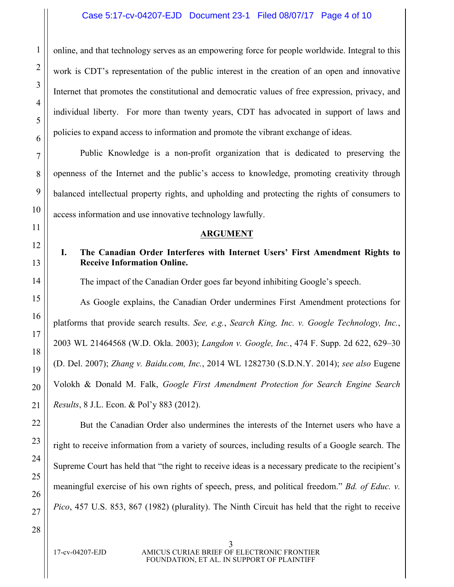online, and that technology serves as an empowering force for people worldwide. Integral to this work is CDT's representation of the public interest in the creation of an open and innovative Internet that promotes the constitutional and democratic values of free expression, privacy, and individual liberty. For more than twenty years, CDT has advocated in support of laws and policies to expand access to information and promote the vibrant exchange of ideas.

Public Knowledge is a non-profit organization that is dedicated to preserving the openness of the Internet and the public's access to knowledge, promoting creativity through balanced intellectual property rights, and upholding and protecting the rights of consumers to access information and use innovative technology lawfully.

## **ARGUMENT**

## **I. The Canadian Order Interferes with Internet Users' First Amendment Rights to Receive Information Online.**

The impact of the Canadian Order goes far beyond inhibiting Google's speech.

As Google explains, the Canadian Order undermines First Amendment protections for platforms that provide search results. *See, e.g.*, *Search King, Inc. v. Google Technology, Inc.*, 2003 WL 21464568 (W.D. Okla. 2003); *Langdon v. Google, Inc.*, 474 F. Supp. 2d 622, 629–30 (D. Del. 2007); *Zhang v. Baidu.com, Inc.*, 2014 WL 1282730 (S.D.N.Y. 2014); *see also* Eugene Volokh & Donald M. Falk, *Google First Amendment Protection for Search Engine Search Results*, 8 J.L. Econ. & Pol'y 883 (2012).

But the Canadian Order also undermines the interests of the Internet users who have a right to receive information from a variety of sources, including results of a Google search. The Supreme Court has held that "the right to receive ideas is a necessary predicate to the recipient's meaningful exercise of his own rights of speech, press, and political freedom." *Bd. of Educ. v. Pico*, 457 U.S. 853, 867 (1982) (plurality). The Ninth Circuit has held that the right to receive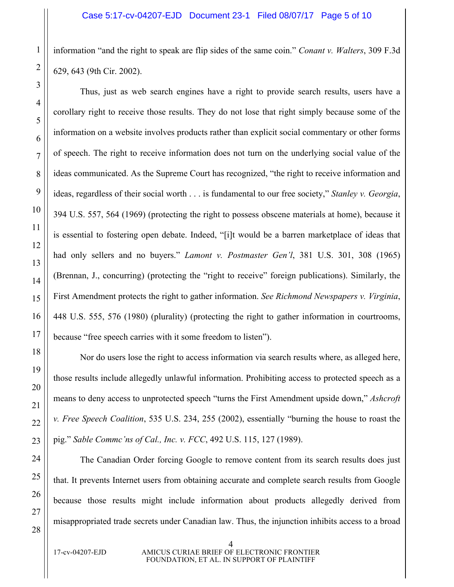information "and the right to speak are flip sides of the same coin." *Conant v. Walters*, 309 F.3d 629, 643 (9th Cir. 2002).

Thus, just as web search engines have a right to provide search results, users have a corollary right to receive those results. They do not lose that right simply because some of the information on a website involves products rather than explicit social commentary or other forms of speech. The right to receive information does not turn on the underlying social value of the ideas communicated. As the Supreme Court has recognized, "the right to receive information and ideas, regardless of their social worth . . . is fundamental to our free society," *Stanley v. Georgia*, 394 U.S. 557, 564 (1969) (protecting the right to possess obscene materials at home), because it is essential to fostering open debate. Indeed, "[i]t would be a barren marketplace of ideas that had only sellers and no buyers." *Lamont v. Postmaster Gen'l*, 381 U.S. 301, 308 (1965) (Brennan, J., concurring) (protecting the "right to receive" foreign publications). Similarly, the First Amendment protects the right to gather information. *See Richmond Newspapers v. Virginia*, 448 U.S. 555, 576 (1980) (plurality) (protecting the right to gather information in courtrooms, because "free speech carries with it some freedom to listen").

Nor do users lose the right to access information via search results where, as alleged here, those results include allegedly unlawful information. Prohibiting access to protected speech as a means to deny access to unprotected speech "turns the First Amendment upside down," *Ashcroft v. Free Speech Coalition*, 535 U.S. 234, 255 (2002), essentially "burning the house to roast the pig." *Sable Commc'ns of Cal., Inc. v. FCC*, 492 U.S. 115, 127 (1989).

The Canadian Order forcing Google to remove content from its search results does just that. It prevents Internet users from obtaining accurate and complete search results from Google because those results might include information about products allegedly derived from misappropriated trade secrets under Canadian law. Thus, the injunction inhibits access to a broad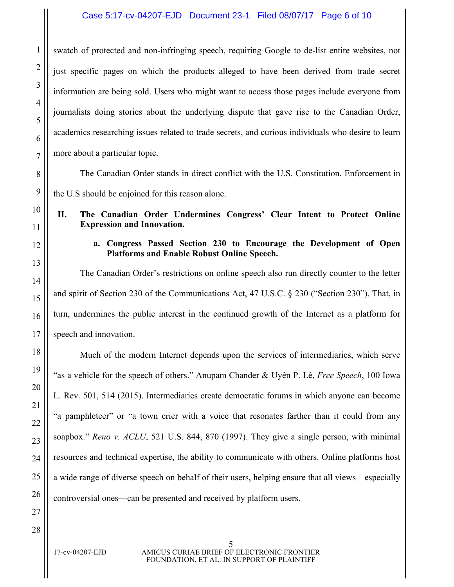## Case 5:17-cv-04207-EJD Document 23-1 Filed 08/07/17 Page 6 of 10

swatch of protected and non-infringing speech, requiring Google to de-list entire websites, not just specific pages on which the products alleged to have been derived from trade secret information are being sold. Users who might want to access those pages include everyone from journalists doing stories about the underlying dispute that gave rise to the Canadian Order, academics researching issues related to trade secrets, and curious individuals who desire to learn more about a particular topic.

The Canadian Order stands in direct conflict with the U.S. Constitution. Enforcement in

the U.S should be enjoined for this reason alone.

# **II. The Canadian Order Undermines Congress' Clear Intent to Protect Online Expression and Innovation.**

## **a. Congress Passed Section 230 to Encourage the Development of Open Platforms and Enable Robust Online Speech.**

The Canadian Order's restrictions on online speech also run directly counter to the letter and spirit of Section 230 of the Communications Act, 47 U.S.C. § 230 ("Section 230"). That, in turn, undermines the public interest in the continued growth of the Internet as a platform for speech and innovation.

Much of the modern Internet depends upon the services of intermediaries, which serve "as a vehicle for the speech of others." Anupam Chander & Uyên P. Lê, *Free Speech*, 100 Iowa L. Rev. 501, 514 (2015). Intermediaries create democratic forums in which anyone can become "a pamphleteer" or "a town crier with a voice that resonates farther than it could from any soapbox." *Reno v. ACLU*, 521 U.S. 844, 870 (1997). They give a single person, with minimal resources and technical expertise, the ability to communicate with others. Online platforms host a wide range of diverse speech on behalf of their users, helping ensure that all views—especially controversial ones—can be presented and received by platform users.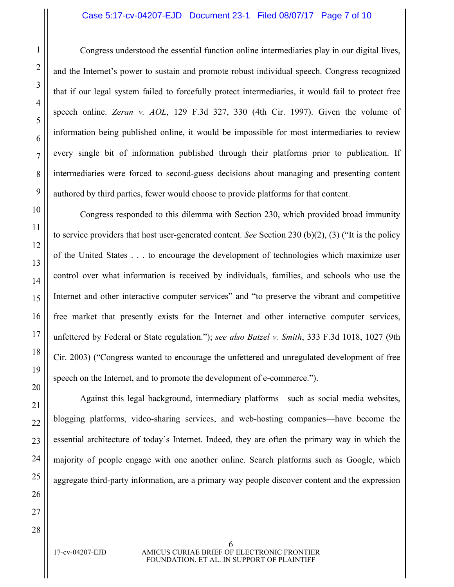### Case 5:17-cv-04207-EJD Document 23-1 Filed 08/07/17 Page 7 of 10

Congress understood the essential function online intermediaries play in our digital lives, and the Internet's power to sustain and promote robust individual speech. Congress recognized that if our legal system failed to forcefully protect intermediaries, it would fail to protect free speech online. *Zeran v. AOL*, 129 F.3d 327, 330 (4th Cir. 1997). Given the volume of information being published online, it would be impossible for most intermediaries to review every single bit of information published through their platforms prior to publication. If intermediaries were forced to second-guess decisions about managing and presenting content authored by third parties, fewer would choose to provide platforms for that content.

Congress responded to this dilemma with Section 230, which provided broad immunity to service providers that host user-generated content. *See* Section 230 (b)(2), (3) ("It is the policy of the United States . . . to encourage the development of technologies which maximize user control over what information is received by individuals, families, and schools who use the Internet and other interactive computer services" and "to preserve the vibrant and competitive free market that presently exists for the Internet and other interactive computer services, unfettered by Federal or State regulation."); *see also Batzel v. Smith*, 333 F.3d 1018, 1027 (9th Cir. 2003) ("Congress wanted to encourage the unfettered and unregulated development of free speech on the Internet, and to promote the development of e-commerce.").

Against this legal background, intermediary platforms—such as social media websites, blogging platforms, video-sharing services, and web-hosting companies—have become the essential architecture of today's Internet. Indeed, they are often the primary way in which the majority of people engage with one another online. Search platforms such as Google, which aggregate third-party information, are a primary way people discover content and the expression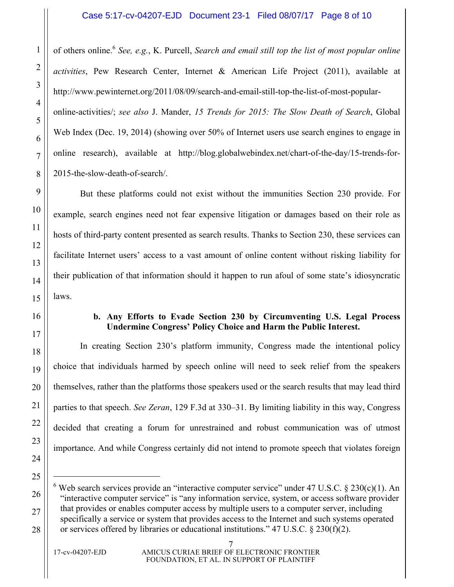### Case 5:17-cv-04207-EJD Document 23-1 Filed 08/07/17 Page 8 of 10

of others online.<sup>6</sup> *See, e.g.*, K. Purcell, *Search and email still top the list of most popular online activities*, Pew Research Center, Internet & American Life Project (2011), available at http://www.pewinternet.org/2011/08/09/search-and-email-still-top-the-list-of-most-popularonline-activities/; *see also* J. Mander, *15 Trends for 2015: The Slow Death of Search*, Global Web Index (Dec. 19, 2014) (showing over 50% of Internet users use search engines to engage in online research), available at http://blog.globalwebindex.net/chart-of-the-day/15-trends-for-2015-the-slow-death-of-search/.

But these platforms could not exist without the immunities Section 230 provide. For example, search engines need not fear expensive litigation or damages based on their role as hosts of third-party content presented as search results. Thanks to Section 230, these services can facilitate Internet users' access to a vast amount of online content without risking liability for their publication of that information should it happen to run afoul of some state's idiosyncratic laws.

### **b. Any Efforts to Evade Section 230 by Circumventing U.S. Legal Process Undermine Congress' Policy Choice and Harm the Public Interest.**

In creating Section 230's platform immunity, Congress made the intentional policy choice that individuals harmed by speech online will need to seek relief from the speakers themselves, rather than the platforms those speakers used or the search results that may lead third parties to that speech. *See Zeran*, 129 F.3d at 330–31. By limiting liability in this way, Congress decided that creating a forum for unrestrained and robust communication was of utmost importance. And while Congress certainly did not intend to promote speech that violates foreign

Web search services provide an "interactive computer service" under 47 U.S.C. § 230(c)(1). An "interactive computer service" is "any information service, system, or access software provider that provides or enables computer access by multiple users to a computer server, including specifically a service or system that provides access to the Internet and such systems operated or services offered by libraries or educational institutions." 47 U.S.C. § 230(f)(2).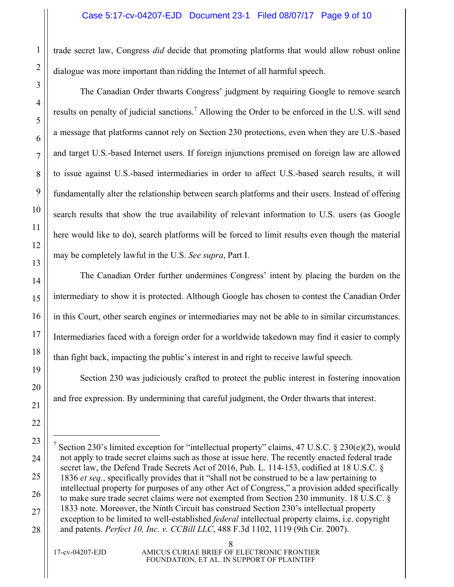trade secret law, Congress *did* decide that promoting platforms that would allow robust online dialogue was more important than ridding the Internet of all harmful speech.

The Canadian Order thwarts Congress' judgment by requiring Google to remove search results on penalty of judicial sanctions.<sup>7</sup> Allowing the Order to be enforced in the U.S. will send a message that platforms cannot rely on Section 230 protections, even when they are U.S.-based and target U.S.-based Internet users. If foreign injunctions premised on foreign law are allowed to issue against U.S.-based intermediaries in order to affect U.S.-based search results, it will fundamentally alter the relationship between search platforms and their users. Instead of offering search results that show the true availability of relevant information to U.S. users (as Google here would like to do), search platforms will be forced to limit results even though the material may be completely lawful in the U.S. *See supra*, Part I.

The Canadian Order further undermines Congress' intent by placing the burden on the intermediary to show it is protected. Although Google has chosen to contest the Canadian Order in this Court, other search engines or intermediaries may not be able to in similar circumstances. Intermediaries faced with a foreign order for a worldwide takedown may find it easier to comply than fight back, impacting the public's interest in and right to receive lawful speech.

Section 230 was judiciously crafted to protect the public interest in fostering innovation and free expression. By undermining that careful judgment, the Order thwarts that interest.

Section 230's limited exception for "intellectual property" claims, 47 U.S.C. § 230(e)(2), would not apply to trade secret claims such as those at issue here. The recently enacted federal trade secret law, the Defend Trade Secrets Act of 2016, Pub. L. 114-153, codified at 18 U.S.C. § 1836 *et seq.*, specifically provides that it "shall not be construed to be a law pertaining to intellectual property for purposes of any other Act of Congress," a provision added specifically to make sure trade secret claims were not exempted from Section 230 immunity. 18 U.S.C. § 1833 note. Moreover, the Ninth Circuit has construed Section 230's intellectual property exception to be limited to well-established *federal* intellectual property claims, i.e. copyright and patents. *Perfect 10, Inc. v. CCBill LLC*, 488 F.3d 1102, 1119 (9th Cir. 2007).